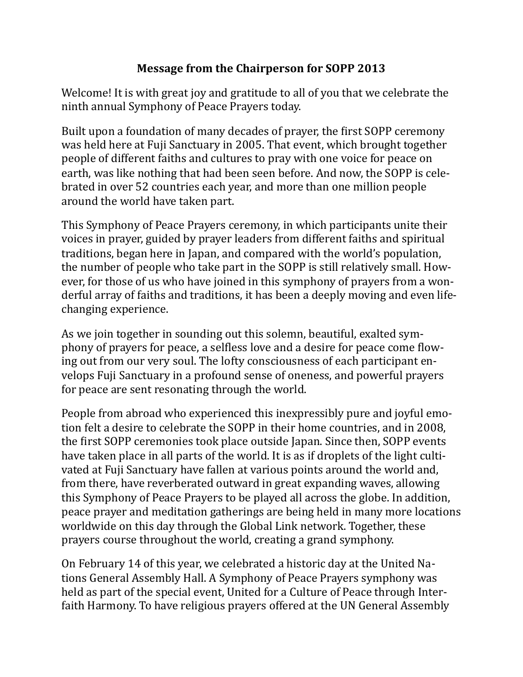## **Message from the Chairperson for SOPP 2013**

Welcome! It is with great joy and gratitude to all of you that we celebrate the ninth annual Symphony of Peace Prayers today.

Built upon a foundation of many decades of prayer, the first SOPP ceremony was held here at Fuji Sanctuary in 2005. That event, which brought together people of different faiths and cultures to pray with one voice for peace on earth, was like nothing that had been seen before. And now, the SOPP is celebrated in over 52 countries each year, and more than one million people around the world have taken part.

This Symphony of Peace Prayers ceremony, in which participants unite their voices in prayer, guided by prayer leaders from different faiths and spiritual traditions, began here in Japan, and compared with the world's population, the number of people who take part in the SOPP is still relatively small. However, for those of us who have joined in this symphony of prayers from a wonderful array of faiths and traditions, it has been a deeply moving and even lifechanging experience.

As we join together in sounding out this solemn, beautiful, exalted symphony of prayers for peace, a selfless love and a desire for peace come flowing out from our very soul. The lofty consciousness of each participant envelops Fuji Sanctuary in a profound sense of oneness, and powerful prayers for peace are sent resonating through the world.

People from abroad who experienced this inexpressibly pure and joyful emotion felt a desire to celebrate the SOPP in their home countries, and in 2008, the first SOPP ceremonies took place outside Japan. Since then, SOPP events have taken place in all parts of the world. It is as if droplets of the light cultivated at Fuji Sanctuary have fallen at various points around the world and, from there, have reverberated outward in great expanding waves, allowing this Symphony of Peace Prayers to be played all across the globe. In addition, peace prayer and meditation gatherings are being held in many more locations worldwide on this day through the Global Link network. Together, these prayers course throughout the world, creating a grand symphony.

On February 14 of this year, we celebrated a historic day at the United Nations General Assembly Hall. A Symphony of Peace Prayers symphony was held as part of the special event, United for a Culture of Peace through Interfaith Harmony. To have religious prayers offered at the UN General Assembly